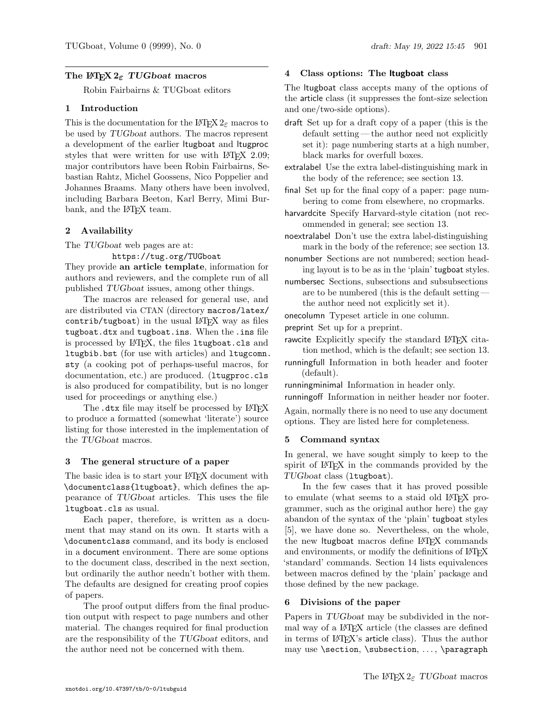## The L<sup>AT</sup>EX  $2 \epsilon$  TUG boat macros

Robin Fairbairns & TUGboat editors

#### 1 Introduction

This is the documentation for the LATEX  $2\varepsilon$  macros to be used by TUGboat authors. The macros represent a development of the earlier ltugboat and ltugproc styles that were written for use with LAT<sub>F</sub>X 2.09; major contributors have been Robin Fairbairns, Sebastian Rahtz, Michel Goossens, Nico Poppelier and Johannes Braams. Many others have been involved, including Barbara Beeton, Karl Berry, Mimi Burbank, and the L<sup>AT</sup>EX team.

#### 2 Availability

The TUGboat web pages are at:

https://tug.org/TUGboat

They provide an article template, information for authors and reviewers, and the complete run of all published TUGboat issues, among other things.

The macros are released for general use, and are distributed via CTAN (directory macros/latex/  $control / tugboat)$  in the usual  $LATFX$  way as files tugboat.dtx and tugboat.ins. When the .ins file is processed by L<sup>AT</sup>EX, the files ltugboat.cls and ltugbib.bst (for use with articles) and ltugcomn. sty (a cooking pot of perhaps-useful macros, for documentation, etc.) are produced. (ltugproc.cls is also produced for compatibility, but is no longer used for proceedings or anything else.)

The .dtx file may itself be processed by LAT<sub>EX</sub> to produce a formatted (somewhat 'literate') source listing for those interested in the implementation of the TUGboat macros.

#### 3 The general structure of a paper

The basic idea is to start your LAT<sub>EX</sub> document with \documentclass{ltugboat}, which defines the appearance of TUGboat articles. This uses the file ltugboat.cls as usual.

Each paper, therefore, is written as a document that may stand on its own. It starts with a \documentclass command, and its body is enclosed in a document environment. There are some options to the document class, described in the next section, but ordinarily the author needn't bother with them. The defaults are designed for creating proof copies of papers.

The proof output differs from the final production output with respect to page numbers and other material. The changes required for final production are the responsibility of the TUGboat editors, and the author need not be concerned with them.

## 4 Class options: The ltugboat class

The ltugboat class accepts many of the options of the article class (it suppresses the font-size selection and one/two-side options).

- draft Set up for a draft copy of a paper (this is the default setting — the author need not explicitly set it): page numbering starts at a high number, black marks for overfull boxes.
- extralabel Use the extra label-distinguishing mark in the body of the reference; see section 13.
- final Set up for the final copy of a paper: page numbering to come from elsewhere, no cropmarks.
- harvardcite Specify Harvard-style citation (not recommended in general; see section 13.
- noextralabel Don't use the extra label-distinguishing mark in the body of the reference; see section 13.
- nonumber Sections are not numbered; section heading layout is to be as in the 'plain' tugboat styles.
- numbersec Sections, subsections and subsubsections are to be numbered (this is the default setting the author need not explicitly set it).
- onecolumn Typeset article in one column.
- preprint Set up for a preprint.
- rawcite Explicitly specify the standard LATFX citation method, which is the default; see section 13.
- runningfull Information in both header and footer (default).

runningminimal Information in header only.

runningoff Information in neither header nor footer.

Again, normally there is no need to use any document options. They are listed here for completeness.

#### 5 Command syntax

In general, we have sought simply to keep to the spirit of LATEX in the commands provided by the TUGboat class (ltugboat).

In the few cases that it has proved possible to emulate (what seems to a staid old LATEX programmer, such as the original author here) the gay abandon of the syntax of the 'plain' tugboat styles [5], we have done so. Nevertheless, on the whole, the new ltugboat macros define L<sup>AT</sup>FX commands and environments, or modify the definitions of L<sup>AT</sup>EX 'standard' commands. Section 14 lists equivalences between macros defined by the 'plain' package and those defined by the new package.

#### 6 Divisions of the paper

Papers in TUGboat may be subdivided in the normal way of a LATEX article (the classes are defined in terms of LAT<sub>EX</sub>'s article class). Thus the author may use \section, \subsection, ..., \paragraph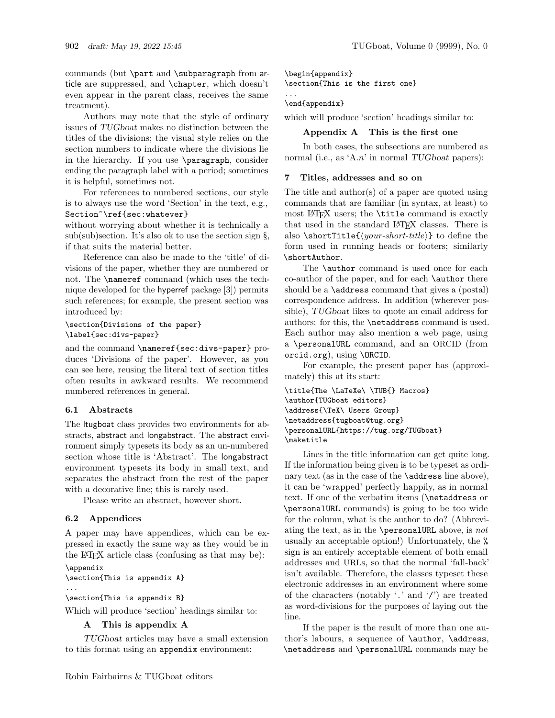commands (but \part and \subparagraph from article are suppressed, and \chapter, which doesn't even appear in the parent class, receives the same treatment).

Authors may note that the style of ordinary issues of TUGboat makes no distinction between the titles of the divisions; the visual style relies on the section numbers to indicate where the divisions lie in the hierarchy. If you use \paragraph, consider ending the paragraph label with a period; sometimes it is helpful, sometimes not.

For references to numbered sections, our style is to always use the word 'Section' in the text, e.g., Section~\ref{sec:whatever}

without worrying about whether it is technically a  $sub(sub)$ section. It's also ok to use the section sign  $\S$ , if that suits the material better.

Reference can also be made to the 'title' of divisions of the paper, whether they are numbered or not. The \nameref command (which uses the technique developed for the hyperref package [3]) permits such references; for example, the present section was introduced by:

## \section{Divisions of the paper} \label{sec:divs-paper}

and the command \nameref{sec:divs-paper} produces 'Divisions of the paper'. However, as you can see here, reusing the literal text of section titles often results in awkward results. We recommend numbered references in general.

# 6.1 Abstracts

The ltugboat class provides two environments for abstracts, abstract and longabstract. The abstract environment simply typesets its body as an un-numbered section whose title is 'Abstract'. The longabstract environment typesets its body in small text, and separates the abstract from the rest of the paper with a decorative line; this is rarely used.

Please write an abstract, however short.

# 6.2 Appendices

A paper may have appendices, which can be expressed in exactly the same way as they would be in the LATEX article class (confusing as that may be):

#### \appendix \section{This is appendix A} ...

\section{This is appendix B}

Which will produce 'section' headings similar to:

## A This is appendix A

TUGboat articles may have a small extension to this format using an appendix environment:

\begin{appendix}

\section{This is the first one}

#### ... \end{appendix}

which will produce 'section' headings similar to:

# Appendix A This is the first one

In both cases, the subsections are numbered as normal (i.e., as 'A.n' in normal TUG boat papers):

# 7 Titles, addresses and so on

The title and author(s) of a paper are quoted using commands that are familiar (in syntax, at least) to most LATEX users; the \title command is exactly that used in the standard LATEX classes. There is also  $\setminus$ shortTitle $\{\langle your\text{-}short\text{-}title\rangle\}$  to define the form used in running heads or footers; similarly \shortAuthor.

The **\author** command is used once for each co-author of the paper, and for each \author there should be a  $\ad$ ress command that gives a (postal) correspondence address. In addition (wherever possible), TUGboat likes to quote an email address for authors: for this, the \netaddress command is used. Each author may also mention a web page, using a \personalURL command, and an ORCID (from orcid.org), using \ORCID.

For example, the present paper has (approximately) this at its start:

```
\title{The \LaTeXe\ \TUB{} Macros}
\author{TUGboat editors}
\address{\TeX\ Users Group}
\netaddress{tugboat@tug.org}
\personalURL{https://tug.org/TUGboat}
\maketitle
```
Lines in the title information can get quite long. If the information being given is to be typeset as ordinary text (as in the case of the **\address** line above), it can be 'wrapped' perfectly happily, as in normal text. If one of the verbatim items (\netaddress or \personalURL commands) is going to be too wide for the column, what is the author to do? (Abbreviating the text, as in the  $\perp$  solutional URL above, is not usually an acceptable option!) Unfortunately, the % sign is an entirely acceptable element of both email addresses and URLs, so that the normal 'fall-back' isn't available. Therefore, the classes typeset these electronic addresses in an environment where some of the characters (notably '.' and '/') are treated as word-divisions for the purposes of laying out the line.

If the paper is the result of more than one author's labours, a sequence of \author, \address, \netaddress and \personalURL commands may be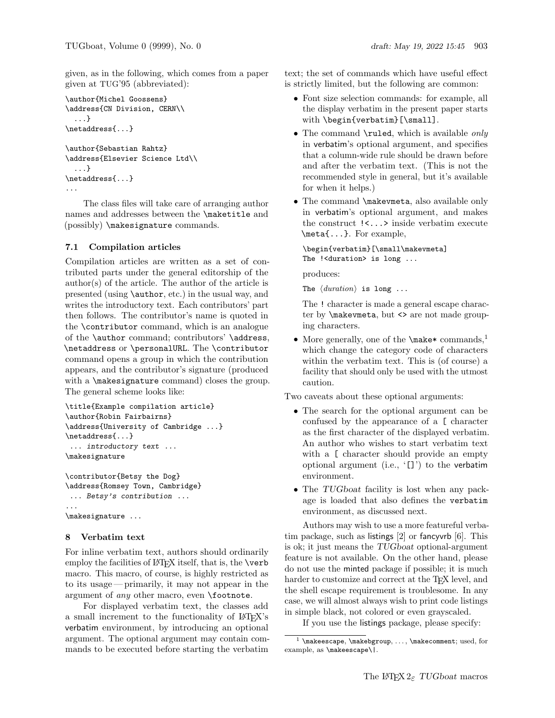given, as in the following, which comes from a paper given at TUG'95 (abbreviated):

```
\author{Michel Goossens}
\address{CN Division, CERN\\
  ...}
\netaddress{...}
\author{Sebastian Rahtz}
\address{Elsevier Science Ltd\\
  ...}
\netaddress{...}
...
```
The class files will take care of arranging author names and addresses between the \maketitle and (possibly) \makesignature commands.

## 7.1 Compilation articles

Compilation articles are written as a set of contributed parts under the general editorship of the  $\text{author}(s)$  of the article. The author of the article is presented (using \author, etc.) in the usual way, and writes the introductory text. Each contributors' part then follows. The contributor's name is quoted in the \contributor command, which is an analogue of the \author command; contributors' \address, \netaddress or \personalURL. The \contributor command opens a group in which the contribution appears, and the contributor's signature (produced with a  $\mathtt{max}$  command) closes the group. The general scheme looks like:

```
\title{Example compilation article}
\author{Robin Fairbairns}
\address{University of Cambridge ...}
\netaddress{...}
... introductory text ...
\makesignature
```
\contributor{Betsy the Dog} \address{Romsey Town, Cambridge} ... Betsy's contribution ... ... \makesignature ...

#### 8 Verbatim text

For inline verbatim text, authors should ordinarily employ the facilities of  $\mathbb{F}$ FFX itself, that is, the \verb macro. This macro, of course, is highly restricted as to its usage— primarily, it may not appear in the argument of *any* other macro, even **\footnote**.

For displayed verbatim text, the classes add a small increment to the functionality of LATEX's verbatim environment, by introducing an optional argument. The optional argument may contain commands to be executed before starting the verbatim

text; the set of commands which have useful effect is strictly limited, but the following are common:

- Font size selection commands: for example, all the display verbatim in the present paper starts with \begin{verbatim}[\small].
- The command  $\rule{1.5cm}{0.2cm}$  \ruled, which is available *only* in verbatim's optional argument, and specifies that a column-wide rule should be drawn before and after the verbatim text. (This is not the recommended style in general, but it's available for when it helps.)
- The command \makevmeta, also available only in verbatim's optional argument, and makes the construct !<...> inside verbatim execute \meta{...}. For example,

\begin{verbatim}[\small\makevmeta] The !<duration> is long ...

produces:

The  $\langle duration \rangle$  is long ...

The ! character is made a general escape character by **\makevmeta**, but <> are not made grouping characters.

• More generally, one of the  $\text{make* commands}$ ,<sup>1</sup> which change the category code of characters within the verbatim text. This is (of course) a facility that should only be used with the utmost caution.

Two caveats about these optional arguments:

- The search for the optional argument can be confused by the appearance of a [ character as the first character of the displayed verbatim. An author who wishes to start verbatim text with a  $\Gamma$  character should provide an empty optional argument (i.e., '[]') to the verbatim environment.
- The TUGboat facility is lost when any package is loaded that also defines the verbatim environment, as discussed next.

Authors may wish to use a more featureful verbatim package, such as listings [2] or fancyvrb [6]. This is ok; it just means the TUGboat optional-argument feature is not available. On the other hand, please do not use the minted package if possible; it is much harder to customize and correct at the T<sub>EX</sub> level, and the shell escape requirement is troublesome. In any case, we will almost always wish to print code listings in simple black, not colored or even grayscaled.

If you use the listings package, please specify:

 $<sup>1</sup>$  \makeescape, \makebgroup, ..., \makecomment; used, for</sup> example, as \makeescape\|.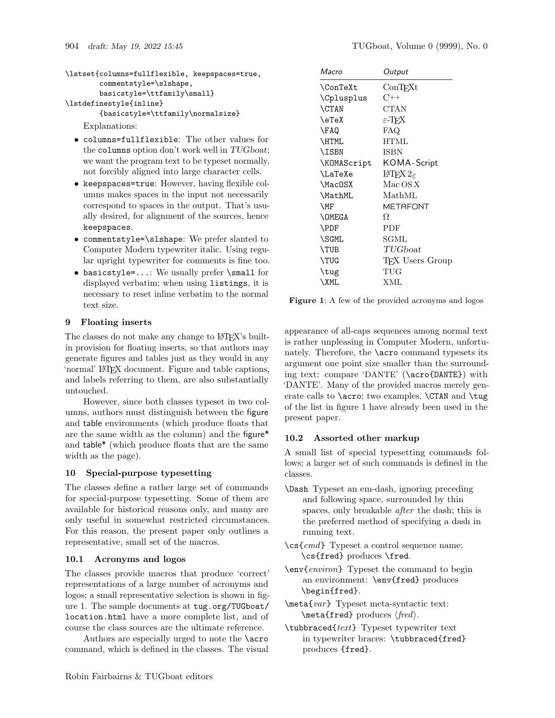```
\lstset{columns=fullflexible, keepspaces=true,
        commentstyle=\slshape,
        basicstyle=\ttfamily\small}
\lstdefinestyle{inline}
        {basicstyle=\ttfamily\normalsize}
```
Explanations:

- columns=fullflexible: The other values for the columns option don't work well in TUGboat; we want the program text to be typeset normally, not forcibly aligned into large character cells.
- keepspaces=true: However, having flexible columns makes spaces in the input not necessarily correspond to spaces in the output. That's usually desired, for alignment of the sources, hence keepspaces.
- commentstyle=\slshape: We prefer slanted to Computer Modern typewriter italic. Using regular upright typewriter for comments is fine too.
- basicstyle=...: We usually prefer \small for displayed verbatim; when using listings, it is necessary to reset inline verbatim to the normal text size.

## 9 Floating inserts

The classes do not make any change to LATEX's builtin provision for floating inserts, so that authors may generate figures and tables just as they would in any 'normal' LATEX document. Figure and table captions, and labels referring to them, are also substantially untouched.

However, since both classes typeset in two columns, authors must distinguish between the figure and table environments (which produce floats that are the same width as the column) and the figure\* and table\* (which produce floats that are the same width as the page).

#### 10 Special-purpose typesetting

The classes define a rather large set of commands for special-purpose typesetting. Some of them are available for historical reasons only, and many are only useful in somewhat restricted circumstances. For this reason, the present paper only outlines a representative, small set of the macros.

#### 10.1 Acronyms and logos

The classes provide macros that produce 'correct' representations of a large number of acronyms and logos; a small representative selection is shown in figure 1. The sample documents at tug.org/TUGboat/ location.html have a more complete list, and of course the class sources are the ultimate reference.

Authors are especially urged to note the \acro command, which is defined in the classes. The visual

| Macro             | Output                              |
|-------------------|-------------------------------------|
| $\verb \ConText $ | $_{\rm ConTrXt}$                    |
| \Cplusplus        | $C++$                               |
| <b>CTAN</b>       | <b>CTAN</b>                         |
| \eTeX             | $\varepsilon$ -TFX                  |
| \FAQ              | FAQ.                                |
| \HTML             | <b>HTML</b>                         |
| <b>\ISBN</b>      | ISBN                                |
| \KOMAScript       | KOMA-Script                         |
| <b>\LaTeXe</b>    | $\text{LFT} \times 2_{\varepsilon}$ |
| \MacOSX           | Mac OS X                            |
| \MathML           | MathML                              |
| \MF               | METAFONT                            |
| <b>\OMEGA</b>     | Ω                                   |
| <b>\PDF</b>       | PDF                                 |
| \SGML             | SGML                                |
| \TUB              | TUGboat                             |
| \TUG              | TFX Users Group                     |
| \tug              | TUG                                 |
| \XML              | XML                                 |

Figure 1: A few of the provided acronyms and logos

appearance of all-caps sequences among normal text is rather unpleasing in Computer Modern, unfortunately. Therefore, the \acro command typesets its argument one point size smaller than the surrounding text: compare 'DANTE' (\acro{DANTE}) with 'DANTE'. Many of the provided macros merely generate calls to **\acro**; two examples, **\CTAN** and **\tug** of the list in figure 1 have already been used in the present paper.

## 10.2 Assorted other markup

A small list of special typesetting commands follows; a larger set of such commands is defined in the classes.

- \Dash Typeset an em-dash, ignoring preceding and following space, surrounded by thin spaces, only breakable after the dash; this is the preferred method of specifying a dash in running text.
- $\csc{cmd}$  Typeset a control sequence name: \cs{fred} produces \fred.
- \env{environ} Typeset the command to begin an environment: \env{fred} produces \begin{fred}.
- \meta{var} Typeset meta-syntactic text: \meta{fred} produces ⟨fred⟩.
- \tubbraced{text} Typeset typewriter text in typewriter braces: \tubbraced{fred} produces {fred}.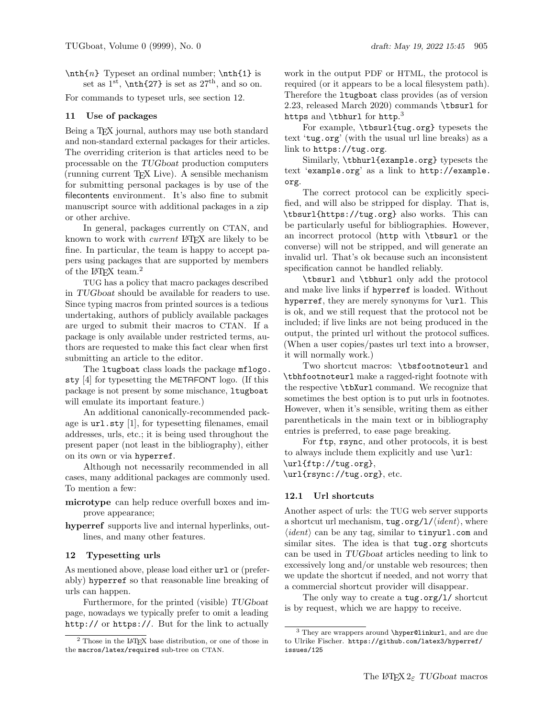$\n\theta\$  Typeset an ordinal number;  $\theta\$  is set as  $1<sup>st</sup>$ ,  $\nth{27}$  is set as  $27<sup>th</sup>$ , and so on.

For commands to typeset urls, see section 12.

#### 11 Use of packages

Being a T<sub>F</sub>X journal, authors may use both standard and non-standard external packages for their articles. The overriding criterion is that articles need to be processable on the TUGboat production computers (running current TEX Live). A sensible mechanism for submitting personal packages is by use of the filecontents environment. It's also fine to submit manuscript source with additional packages in a zip or other archive.

In general, packages currently on CTAN, and known to work with *current* LAT<sub>E</sub>X are likely to be fine. In particular, the team is happy to accept papers using packages that are supported by members of the IAT<sub>E</sub>X team.<sup>2</sup>

TUG has a policy that macro packages described in TUGboat should be available for readers to use. Since typing macros from printed sources is a tedious undertaking, authors of publicly available packages are urged to submit their macros to CTAN. If a package is only available under restricted terms, authors are requested to make this fact clear when first submitting an article to the editor.

The ltugboat class loads the package mflogo. sty [4] for typesetting the METAFONT logo. (If this package is not present by some mischance, ltugboat will emulate its important feature.)

An additional canonically-recommended package is url.sty [1], for typesetting filenames, email addresses, urls, etc.; it is being used throughout the present paper (not least in the bibliography), either on its own or via hyperref.

Although not necessarily recommended in all cases, many additional packages are commonly used. To mention a few:

- microtype can help reduce overfull boxes and improve appearance;
- hyperref supports live and internal hyperlinks, outlines, and many other features.

#### 12 Typesetting urls

As mentioned above, please load either  $ur1$  or (preferably) hyperref so that reasonable line breaking of urls can happen.

Furthermore, for the printed (visible) TUGboat page, nowadays we typically prefer to omit a leading http:// or https://. But for the link to actually

work in the output PDF or HTML, the protocol is required (or it appears to be a local filesystem path). Therefore the ltugboat class provides (as of version 2.23, released March 2020) commands \tbsurl for https and  $\thinspace\$ tbhurl for http. $^3$ 

For example, \tbsurl{tug.org} typesets the text 'tug.org' (with the usual url line breaks) as a link to https://tug.org.

Similarly, \tbhurl{example.org} typesets the text 'example.org' as a link to http://example. org.

The correct protocol can be explicitly specified, and will also be stripped for display. That is, \tbsurl{https://tug.org} also works. This can be particularly useful for bibliographies. However, an incorrect protocol (http with \tbsurl or the converse) will not be stripped, and will generate an invalid url. That's ok because such an inconsistent specification cannot be handled reliably.

\tbsurl and \tbhurl only add the protocol and make live links if hyperref is loaded. Without hyperref, they are merely synonyms for  $\url.$  This is ok, and we still request that the protocol not be included; if live links are not being produced in the output, the printed url without the protocol suffices. (When a user copies/pastes url text into a browser, it will normally work.)

Two shortcut macros: \tbsfootnoteurl and \tbhfootnoteurl make a ragged-right footnote with the respective \tbXurl command. We recognize that sometimes the best option is to put urls in footnotes. However, when it's sensible, writing them as either parentheticals in the main text or in bibliography entries is preferred, to ease page breaking.

For ftp, rsync, and other protocols, it is best to always include them explicitly and use \url:

\url{ftp://tug.org},

\url{rsync://tug.org}, etc.

## 12.1 Url shortcuts

Another aspect of urls: the TUG web server supports a shortcut url mechanism,  $tug.org/1/\langle ident \rangle$ , where  $\langle ident \rangle$  can be any tag, similar to tinyurl.com and similar sites. The idea is that tug.org shortcuts can be used in TUGboat articles needing to link to excessively long and/or unstable web resources; then we update the shortcut if needed, and not worry that a commercial shortcut provider will disappear.

The only way to create a tug.org/1/ shortcut is by request, which we are happy to receive.

<sup>&</sup>lt;sup>2</sup> Those in the LAT<sub>EX</sub> base distribution, or one of those in the macros/latex/required sub-tree on CTAN.

<sup>3</sup> They are wrappers around \hyper@linkurl, and are due to Ulrike Fischer. https://github.com/latex3/hyperref/ issues/125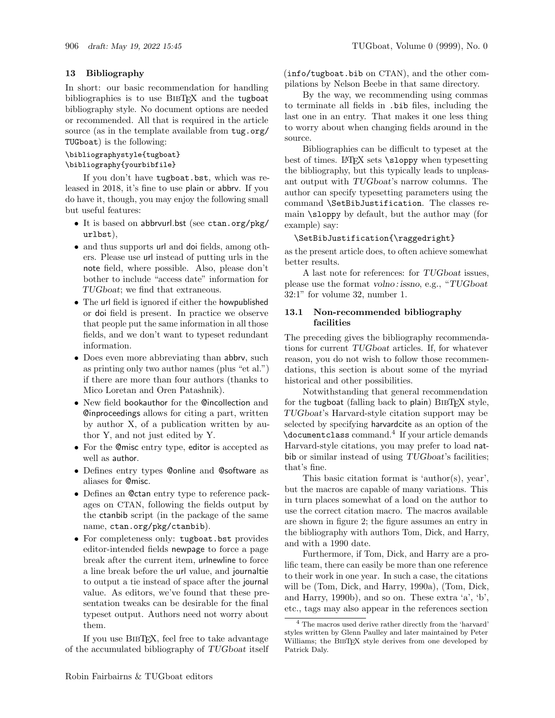#### 13 Bibliography

In short: our basic recommendation for handling bibliographies is to use BIBTFX and the tugboat bibliography style. No document options are needed or recommended. All that is required in the article source (as in the template available from tug.org/ TUGboat) is the following:

#### \bibliographystyle{tugboat} \bibliography{yourbibfile}

If you don't have tugboat.bst, which was released in 2018, it's fine to use plain or abbrv. If you do have it, though, you may enjoy the following small but useful features:

- It is based on abbrvurl.bst (see ctan.org/pkg/ urlbst),
- and thus supports url and doi fields, among others. Please use url instead of putting urls in the note field, where possible. Also, please don't bother to include "access date" information for TUGboat; we find that extraneous.
- The url field is ignored if either the howpublished or doi field is present. In practice we observe that people put the same information in all those fields, and we don't want to typeset redundant information.
- Does even more abbreviating than abbrv, such as printing only two author names (plus "et al.") if there are more than four authors (thanks to Mico Loretan and Oren Patashnik).
- New field bookauthor for the @incollection and @inproceedings allows for citing a part, written by author X, of a publication written by author Y, and not just edited by Y.
- For the @misc entry type, editor is accepted as well as author.
- Defines entry types @online and @software as aliases for @misc.
- Defines an @ctan entry type to reference packages on CTAN, following the fields output by the ctanbib script (in the package of the same name, ctan.org/pkg/ctanbib).
- For completeness only: tugboat.bst provides editor-intended fields newpage to force a page break after the current item, urlnewline to force a line break before the url value, and journaltie to output a tie instead of space after the journal value. As editors, we've found that these presentation tweaks can be desirable for the final typeset output. Authors need not worry about them.

If you use BibTEX, feel free to take advantage of the accumulated bibliography of TUGboat itself (info/tugboat.bib on CTAN), and the other compilations by Nelson Beebe in that same directory.

By the way, we recommending using commas to terminate all fields in .bib files, including the last one in an entry. That makes it one less thing to worry about when changing fields around in the source.

Bibliographies can be difficult to typeset at the best of times. LAT<sub>F</sub>X sets  $\simeq$  when typesetting the bibliography, but this typically leads to unpleasant output with TUGboat's narrow columns. The author can specify typesetting parameters using the command \SetBibJustification. The classes remain \sloppy by default, but the author may (for example) say:

#### \SetBibJustification{\raggedright}

as the present article does, to often achieve somewhat better results.

A last note for references: for TUGboat issues, please use the format volno : issno, e.g., "TUGboat 32:1" for volume 32, number 1.

#### 13.1 Non-recommended bibliography facilities

The preceding gives the bibliography recommendations for current TUGboat articles. If, for whatever reason, you do not wish to follow those recommendations, this section is about some of the myriad historical and other possibilities.

Notwithstanding that general recommendation for the tugboat (falling back to plain)  $BIBTFX$  style, TUGboat's Harvard-style citation support may be selected by specifying harvardcite as an option of the \documentclass command.<sup>4</sup> If your article demands Harvard-style citations, you may prefer to load natbib or similar instead of using TUGboat's facilities; that's fine.

This basic citation format is 'author(s), year', but the macros are capable of many variations. This in turn places somewhat of a load on the author to use the correct citation macro. The macros available are shown in figure 2; the figure assumes an entry in the bibliography with authors Tom, Dick, and Harry, and with a 1990 date.

Furthermore, if Tom, Dick, and Harry are a prolific team, there can easily be more than one reference to their work in one year. In such a case, the citations will be (Tom, Dick, and Harry, 1990a), (Tom, Dick, and Harry, 1990b), and so on. These extra 'a', 'b', etc., tags may also appear in the references section

<sup>4</sup> The macros used derive rather directly from the 'harvard' styles written by Glenn Paulley and later maintained by Peter Williams; the BIBTEX style derives from one developed by Patrick Daly.